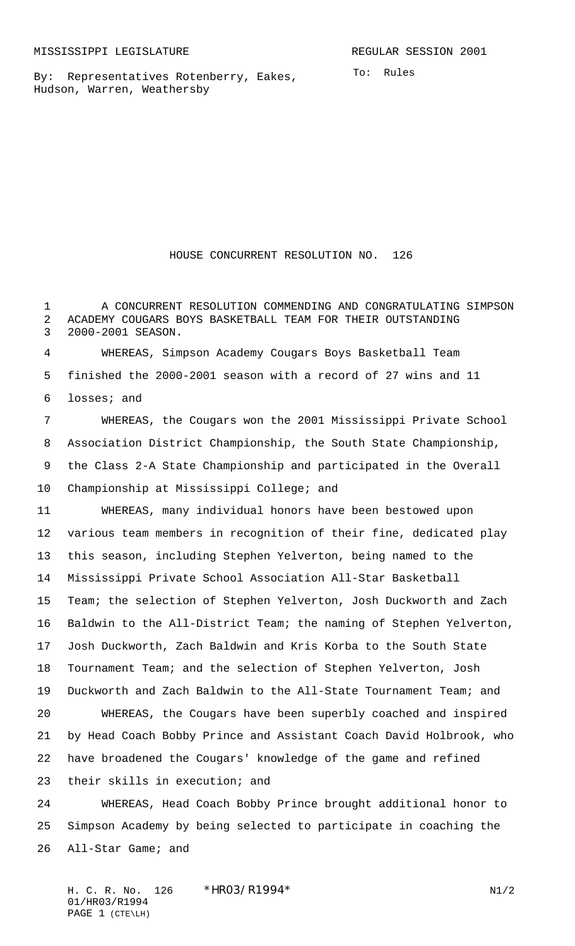By: Representatives Rotenberry, Eakes, Hudson, Warren, Weathersby

## HOUSE CONCURRENT RESOLUTION NO. 126

1 A CONCURRENT RESOLUTION COMMENDING AND CONGRATULATING SIMPSON ACADEMY COUGARS BOYS BASKETBALL TEAM FOR THEIR OUTSTANDING 2000-2001 SEASON.

 WHEREAS, Simpson Academy Cougars Boys Basketball Team finished the 2000-2001 season with a record of 27 wins and 11 losses; and

 WHEREAS, the Cougars won the 2001 Mississippi Private School Association District Championship, the South State Championship, the Class 2-A State Championship and participated in the Overall Championship at Mississippi College; and

 WHEREAS, many individual honors have been bestowed upon various team members in recognition of their fine, dedicated play this season, including Stephen Yelverton, being named to the Mississippi Private School Association All-Star Basketball Team; the selection of Stephen Yelverton, Josh Duckworth and Zach Baldwin to the All-District Team; the naming of Stephen Yelverton, Josh Duckworth, Zach Baldwin and Kris Korba to the South State Tournament Team; and the selection of Stephen Yelverton, Josh Duckworth and Zach Baldwin to the All-State Tournament Team; and WHEREAS, the Cougars have been superbly coached and inspired by Head Coach Bobby Prince and Assistant Coach David Holbrook, who have broadened the Cougars' knowledge of the game and refined their skills in execution; and WHEREAS, Head Coach Bobby Prince brought additional honor to

 Simpson Academy by being selected to participate in coaching the All-Star Game; and

H. C. R. No. 126 \*HRO3/R1994\* N1/2 01/HR03/R1994 PAGE 1 (CTE\LH)